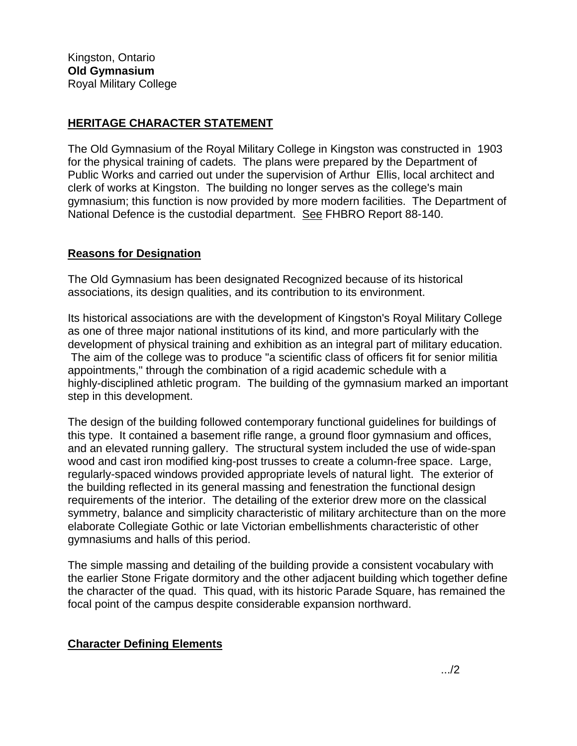## **HERITAGE CHARACTER STATEMENT**

The Old Gymnasium of the Royal Military College in Kingston was constructed in 1903 for the physical training of cadets. The plans were prepared by the Department of Public Works and carried out under the supervision of Arthur Ellis, local architect and clerk of works at Kingston. The building no longer serves as the college's main gymnasium; this function is now provided by more modern facilities. The Department of National Defence is the custodial department. See FHBRO Report 88-140.

## **Reasons for Designation**

The Old Gymnasium has been designated Recognized because of its historical associations, its design qualities, and its contribution to its environment.

Its historical associations are with the development of Kingston's Royal Military College as one of three major national institutions of its kind, and more particularly with the development of physical training and exhibition as an integral part of military education. The aim of the college was to produce "a scientific class of officers fit for senior militia appointments," through the combination of a rigid academic schedule with a highly-disciplined athletic program. The building of the gymnasium marked an important step in this development.

The design of the building followed contemporary functional guidelines for buildings of this type. It contained a basement rifle range, a ground floor gymnasium and offices, and an elevated running gallery. The structural system included the use of wide-span wood and cast iron modified king-post trusses to create a column-free space. Large, regularly-spaced windows provided appropriate levels of natural light. The exterior of the building reflected in its general massing and fenestration the functional design requirements of the interior. The detailing of the exterior drew more on the classical symmetry, balance and simplicity characteristic of military architecture than on the more elaborate Collegiate Gothic or late Victorian embellishments characteristic of other gymnasiums and halls of this period.

The simple massing and detailing of the building provide a consistent vocabulary with the earlier Stone Frigate dormitory and the other adjacent building which together define the character of the quad. This quad, with its historic Parade Square, has remained the focal point of the campus despite considerable expansion northward.

## **Character Defining Elements**